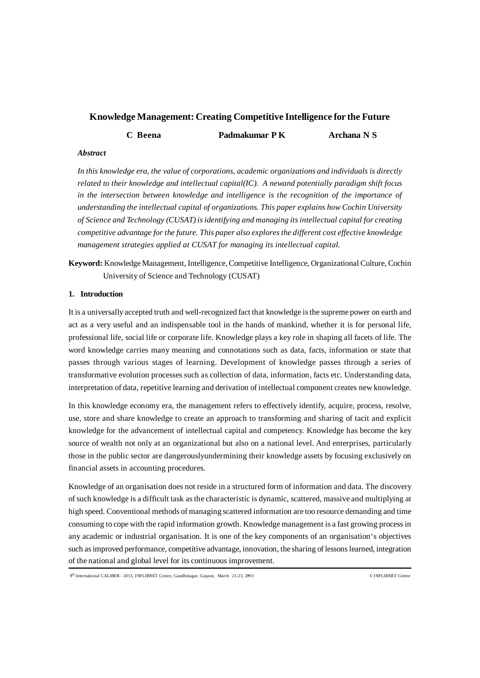# **Knowledge Management: Creating Competitive Intelligence for the Future**

**C Beena Padmakumar P K Archana N S**

# *Abstract*

*In this knowledge era, the value of corporations, academic organizations and individuals is directly related to their knowledge and intellectual capital(IC). A newand potentially paradigm shift focus in the intersection between knowledge and intelligence is the recognition of the importance of understanding the intellectual capital of organizations. This paper explains how Cochin University of Science and Technology (CUSAT) is identifying and managing its intellectual capital for creating competitive advantage for the future. This paper also explores the different cost effective knowledge management strategies applied at CUSAT for managing its intellectual capital.*

**Keyword:** Knowledge Management, Intelligence, Competitive Intelligence, Organizational Culture, Cochin University of Science and Technology (CUSAT)

# **1. Introduction**

It is a universally accepted truth and well-recognized fact that knowledge is the supreme power on earth and act as a very useful and an indispensable tool in the hands of mankind, whether it is for personal life, professional life, social life or corporate life. Knowledge plays a key role in shaping all facets of life. The word knowledge carries many meaning and connotations such as data, facts, information or state that passes through various stages of learning. Development of knowledge passes through a series of transformative evolution processes such as collection of data, information, facts etc. Understanding data, interpretation of data, repetitive learning and derivation of intellectual component creates new knowledge.

In this knowledge economy era, the management refers to effectively identify, acquire, process, resolve, use, store and share knowledge to create an approach to transforming and sharing of tacit and explicit knowledge for the advancement of intellectual capital and competency. Knowledge has become the key source of wealth not only at an organizational but also on a national level. And enterprises, particularly those in the public sector are dangerouslyundermining their knowledge assets by focusing exclusively on financial assets in accounting procedures.

Knowledge of an organisation does not reside in a structured form of information and data. The discovery of such knowledge is a difficult task as the characteristic is dynamic, scattered, massive and multiplying at high speed. Conventional methods of managing scattered information are too resource demanding and time consuming to cope with the rapid information growth. Knowledge management is a fast growing process in any academic or industrial organisation. It is one of the key components of an organisation's objectives such as improved performance, competitive advantage, innovation, the sharing of lessons learned, integration of the national and global level for its continuous improvement.

**- 144 -** 9th International CALIBER - 2013, INFLIBNET Centre, Gandhinagar, Gujarat, March 21-23, 2013 © INFLIBNET Centre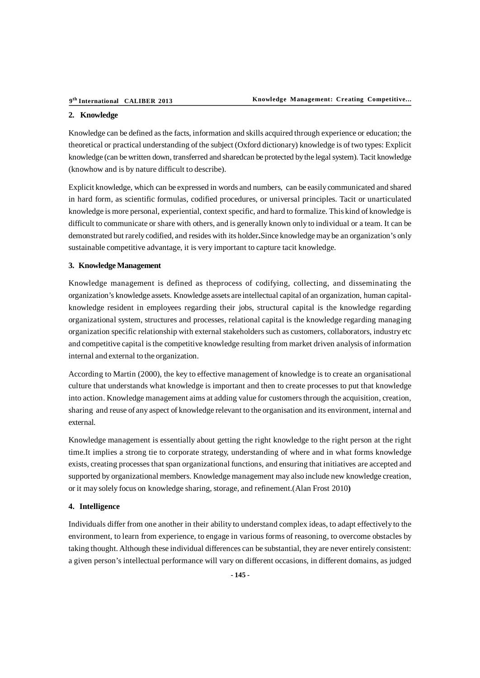#### **2. Knowledge**

Knowledge can be defined as the facts, information and skills acquired through experience or education; the theoretical or practical understanding of the subject (Oxford dictionary) knowledge is of two types: Explicit knowledge (can be written down, transferred and sharedcan be protected by the legal system). Tacit knowledge (knowhow and is by nature difficult to describe).

Explicit knowledge, which can be expressed in words and numbers, can be easily communicated and shared in hard form, as scientific formulas, codified procedures, or universal principles. Tacit or unarticulated knowledge is more personal, experiential, context specific, and hard to formalize. This kind of knowledge is difficult to communicate or share with others, and is generally known only to individual or a team. It can be demonstrated but rarely codified, and resides with its holder**.**Since knowledge may be an organization's only sustainable competitive advantage, it is very important to capture tacit knowledge.

#### **3. Knowledge Management**

Knowledge management is defined as theprocess of codifying, collecting, and disseminating the organization's knowledge assets. Knowledge assets are intellectual capital of an organization, human capitalknowledge resident in employees regarding their jobs, structural capital is the knowledge regarding organizational system, structures and processes, relational capital is the knowledge regarding managing organization specific relationship with external stakeholders such as customers, collaborators, industry etc and competitive capital is the competitive knowledge resulting from market driven analysis of information internal and external to the organization.

According to Martin (2000), the key to effective management of knowledge is to create an organisational culture that understands what knowledge is important and then to create processes to put that knowledge into action. Knowledge management aims at adding value for customers through the acquisition, creation, sharing and reuse of any aspect of knowledge relevant to the organisation and its environment, internal and external.

Knowledge management is essentially about getting the right knowledge to the right person at the right time.It implies a strong tie to corporate strategy, understanding of where and in what forms knowledge exists, creating processes that span organizational functions, and ensuring that initiatives are accepted and supported by organizational members. Knowledge management may also include new knowledge creation, or it may solely focus on knowledge sharing, storage, and refinement.(Alan Frost 2010**)**

#### **4. Intelligence**

Individuals differ from one another in their ability to understand complex ideas, to adapt effectively to the environment, to learn from experience, to engage in various forms of reasoning, to overcome obstacles by taking thought. Although these individual differences can be substantial, they are never entirely consistent: a given person's intellectual performance will vary on different occasions, in different domains, as judged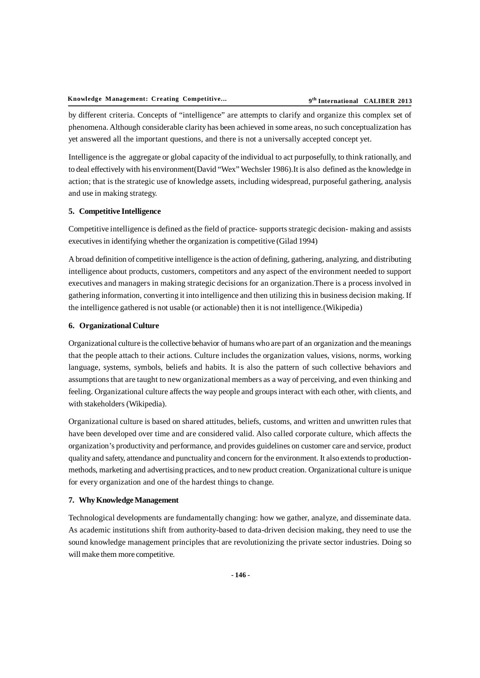by different criteria. Concepts of "intelligence" are attempts to clarify and organize this complex set of phenomena. Although considerable clarity has been achieved in some areas, no such conceptualization has yet answered all the important questions, and there is not a universally accepted concept yet.

Intelligence is the aggregate or global capacity of the individual to act purposefully, to think rationally, and to deal effectively with his environment(David "Wex" Wechsler 1986).It is also defined as the knowledge in action; that is the strategic use of knowledge assets, including widespread, purposeful gathering, analysis and use in making strategy.

#### **5. Competitive Intelligence**

Competitive intelligence is defined as the field of practice- supports strategic decision- making and assists executives in identifying whether the organization is competitive (Gilad 1994)

A broad definition of competitive intelligence is the action of defining, gathering, analyzing, and distributing intelligence about products, customers, competitors and any aspect of the environment needed to support executives and managers in making strategic decisions for an organization.There is a process involved in gathering information, converting it into intelligence and then utilizing this in business decision making. If the intelligence gathered is not usable (or actionable) then it is not intelligence.(Wikipedia)

# **6. Organizational Culture**

Organizational culture is the collective behavior of humans who are part of an organization and the meanings that the people attach to their actions. Culture includes the organization values, visions, norms, working language, systems, symbols, beliefs and habits. It is also the pattern of such collective behaviors and assumptions that are taught to new organizational members as a way of perceiving, and even thinking and feeling. Organizational culture affects the way people and groups interact with each other, with clients, and with stakeholders (Wikipedia).

Organizational culture is based on shared attitudes, beliefs, customs, and written and unwritten rules that have been developed over time and are considered valid. Also called corporate culture, which affects the organization's productivity and performance, and provides guidelines on customer care and service, product quality and safety, attendance and punctuality and concern for the environment. It also extends to productionmethods, marketing and advertising practices, and to new product creation. Organizational culture is unique for every organization and one of the hardest things to change.

### **7. Why Knowledge Management**

Technological developments are fundamentally changing: how we gather, analyze, and disseminate data. As academic institutions shift from authority-based to data-driven decision making, they need to use the sound knowledge management principles that are revolutionizing the private sector industries. Doing so will make them more competitive.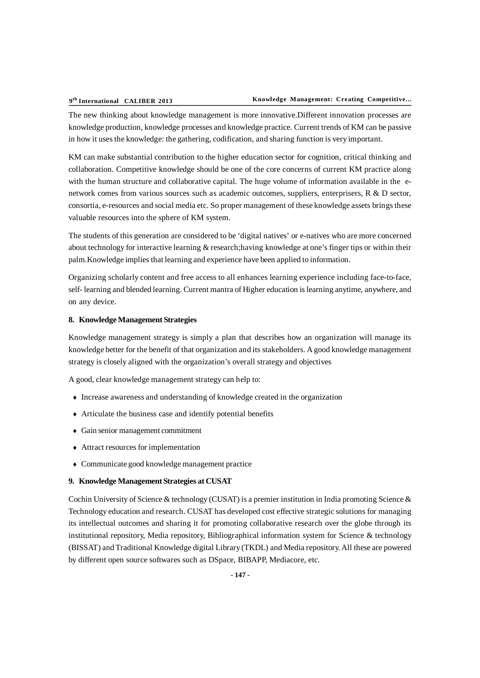The new thinking about knowledge management is more innovative.Different innovation processes are knowledge production, knowledge processes and knowledge practice. Current trends of KM can be passive in how it uses the knowledge: the gathering, codification, and sharing function is very important.

KM can make substantial contribution to the higher education sector for cognition, critical thinking and collaboration. Competitive knowledge should be one of the core concerns of current KM practice along with the human structure and collaborative capital. The huge volume of information available in the enetwork comes from various sources such as academic outcomes, suppliers, enterprisers, R & D sector, consortia, e-resources and social media etc. So proper management of these knowledge assets brings these valuable resources into the sphere of KM system.

The students of this generation are considered to be 'digital natives' or e-natives who are more concerned about technology for interactive learning & research;having knowledge at one's finger tips or within their palm.Knowledge implies that learning and experience have been applied to information.

Organizing scholarly content and free access to all enhances learning experience including face-to-face, self- learning and blended learning. Current mantra of Higher education is learning anytime, anywhere, and on any device.

## **8. Knowledge Management Strategies**

Knowledge management strategy is simply a plan that describes how an organization will manage its knowledge better for the benefit of that organization and its stakeholders. A good knowledge management strategy is closely aligned with the organization's overall strategy and objectives

A good, clear knowledge management strategy can help to:

- Increase awareness and understanding of knowledge created in the organization
- Articulate the business case and identify potential benefits
- Gain senior management commitment
- Attract resources for implementation
- Communicate good knowledge management practice

#### **9. Knowledge Management Strategies at CUSAT**

Cochin University of Science & technology (CUSAT) is a premier institution in India promoting Science & Technology education and research. CUSAT has developed cost effective strategic solutions for managing its intellectual outcomes and sharing it for promoting collaborative research over the globe through its institutional repository, Media repository, Bibliographical information system for Science & technology (BISSAT) and Traditional Knowledge digital Library (TKDL) and Media repository. All these are powered by different open source softwares such as DSpace, BIBAPP, Mediacore, etc.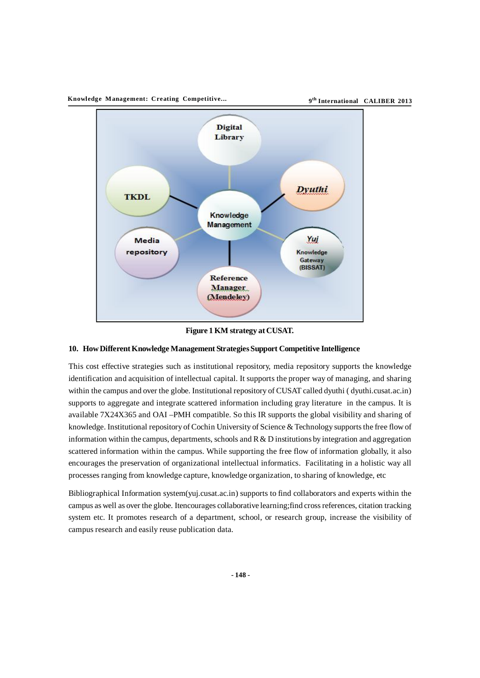

**th International CALIBER 2013**



**Figure 1 KM strategy at CUSAT.**

## **10. How Different Knowledge Management Strategies Support Competitive Intelligence**

This cost effective strategies such as institutional repository, media repository supports the knowledge identification and acquisition of intellectual capital. It supports the proper way of managing, and sharing within the campus and over the globe. Institutional repository of CUSAT called dyuthi ( dyuthi.cusat.ac.in) supports to aggregate and integrate scattered information including gray literature in the campus. It is available 7X24X365 and OAI –PMH compatible. So this IR supports the global visibility and sharing of knowledge. Institutional repository of Cochin University of Science & Technology supports the free flow of information within the campus, departments, schools and  $R & D$  institutions by integration and aggregation scattered information within the campus. While supporting the free flow of information globally, it also encourages the preservation of organizational intellectual informatics. Facilitating in a holistic way all processes ranging from knowledge capture, knowledge organization, to sharing of knowledge, etc

Bibliographical Information system(yuj.cusat.ac.in) supports to find collaborators and experts within the campus as well as over the globe. Itencourages collaborative learning;find cross references, citation tracking system etc. It promotes research of a department, school, or research group, increase the visibility of campus research and easily reuse publication data.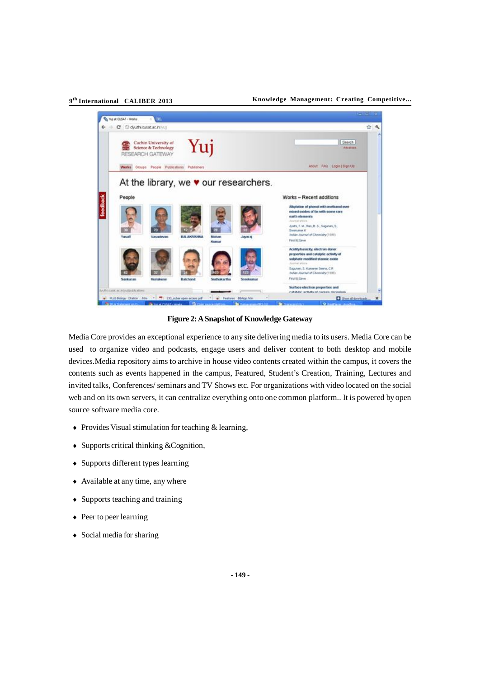### **th International CALIBER 2013**

#### **Knowledge Management: Creating Competitive... 9**



**Figure 2: A Snapshot of Knowledge Gateway**

Media Core provides an exceptional experience to any site delivering media to its users. Media Core can be used to organize video and podcasts, engage users and deliver content to both desktop and mobile devices.Media repository aims to archive in house video contents created within the campus, it covers the contents such as events happened in the campus, Featured, Student's Creation, Training, Lectures and invited talks, Conferences/ seminars and TV Shows etc. For organizations with video located on the social web and on its own servers, it can centralize everything onto one common platform.. It is powered by open source software media core.

- Provides Visual stimulation for teaching & learning,
- Supports critical thinking &Cognition,
- Supports different types learning
- Available at any time, any where
- Supports teaching and training
- Peer to peer learning
- Social media for sharing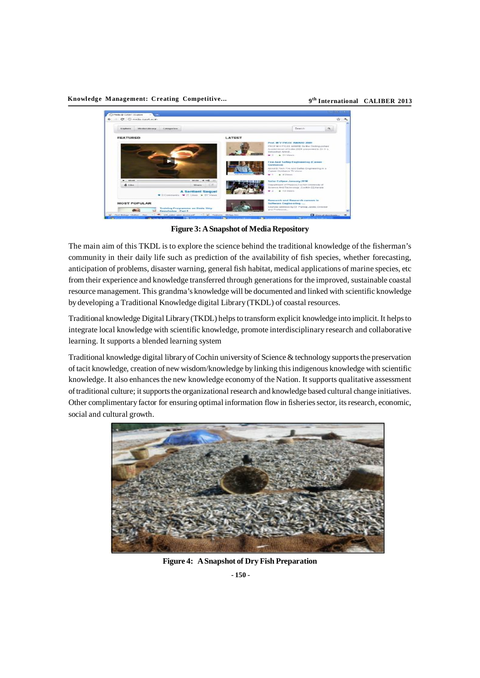**Knowledge Management: Creating Competitive... 9**

**th International CALIBER 2013**



**Figure 3: A Snapshot of Media Repository**

The main aim of this TKDL is to explore the science behind the traditional knowledge of the fisherman's community in their daily life such as prediction of the availability of fish species, whether forecasting, anticipation of problems, disaster warning, general fish habitat, medical applications of marine species, etc from their experience and knowledge transferred through generations for the improved, sustainable coastal resource management. This grandma's knowledge will be documented and linked with scientific knowledge by developing a Traditional Knowledge digital Library (TKDL) of coastal resources.

Traditional knowledge Digital Library (TKDL) helps to transform explicit knowledge into implicit. It helps to integrate local knowledge with scientific knowledge, promote interdisciplinary research and collaborative learning. It supports a blended learning system

Traditional knowledge digital library of Cochin university of Science & technology supports the preservation of tacit knowledge, creation of new wisdom/knowledge by linking this indigenous knowledge with scientific knowledge. It also enhances the new knowledge economy of the Nation. It supports qualitative assessment of traditional culture; it supports the organizational research and knowledge based cultural change initiatives. Other complimentary factor for ensuring optimal information flow in fisheries sector, its research, economic, social and cultural growth.



**Figure 4: A Snapshot of Dry Fish Preparation**